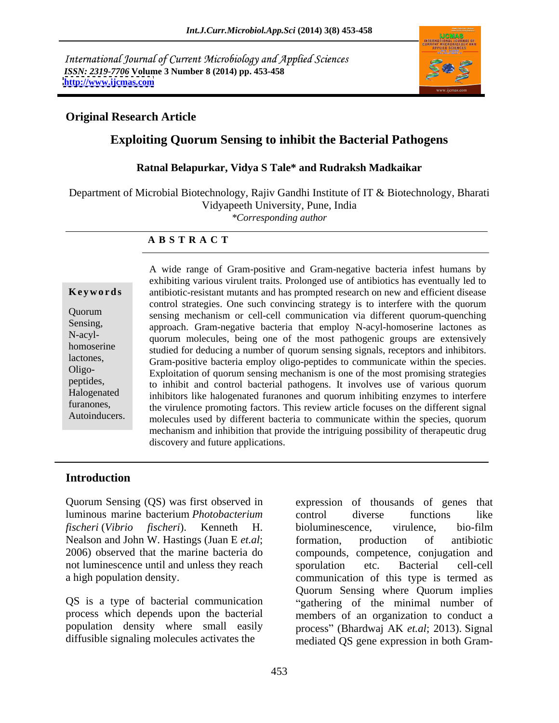International Journal of Current Microbiology and Applied Sciences *ISSN: 2319-7706* **Volume 3 Number 8 (2014) pp. 453-458 <http://www.ijcmas.com>**



# **Original Research Article**

# **Exploiting Quorum Sensing to inhibit the Bacterial Pathogens**

## **Ratnal Belapurkar, Vidya S Tale\* and Rudraksh Madkaikar**

Department of Microbial Biotechnology, Rajiv Gandhi Institute of IT & Biotechnology, Bharati Vidyapeeth University, Pune, India

*\*Corresponding author* 

### **A B S T R A C T**

**Keywords** antibiotic-resistant mutants and has prompted research on new and efficient disease Quorum sensing mechanism or cell-cell communication via different quorum-quenching Sensing, approach. Gram-negative bacteria that employ N-acyl-homoserine lactones as N-acyl-<br>quorum molecules, being one of the most pathogenic groups are extensively homoserine studied for deducing a number of quorum sensing signals, receptors and inhibitors. lactones, Gram-positive bacteria employ oligo-peptides to communicate within the species. Oligo- Exploitation of quorum sensing mechanism is one of the most promising strategies peptides, to inhibit and control bacterial pathogens. It involves use of various quorum Halogenated inhibitors like halogenated furanones and quorum inhibiting enzymes to interfere furanones, the virulence promoting factors. This review article focuses on the different signal Autoinducers. molecules used by different bacteria to communicate within the species, quorum A wide range of Gram-positive and Gram-negative bacteria infest humans by exhibiting various virulent traits. Prolonged use of antibiotics has eventually led to control strategies. One such convincing strategy is to interfere with the quorum mechanism and inhibition that provide the intriguing possibility of therapeutic drug discovery and future applications.

## **Introduction**

Quorum Sensing (QS) was first observed in luminous marine bacterium *Photobacterium* Nealson and John W. Hastings (Juan E *et.al*; formation, production of antibiotic not luminescence until and unless they reach sporulation etc. Bacterial cell-cell

*fischeri* (*Vibrio fischeri*). Kenneth H. 2006) observed that the marine bacteria do compounds, competence, conjugation and a high population density. communication of this type is termed as QS is a type of bacterial communication "gathering of the minimal number of process which depends upon the bacterial members of an organization to conduct a population density where small easily process" (Bhardwaj AK *et.al*; 2013). Signal diffusible signaling molecules activates the mediated QS gene expression in both Gramexpression of thousands of genes that control diverse functions like bioluminescence, virulence, bio-film formation, production of antibiotic sporulation etc. Bacterial cell-cell Quorum Sensing where Quorum implies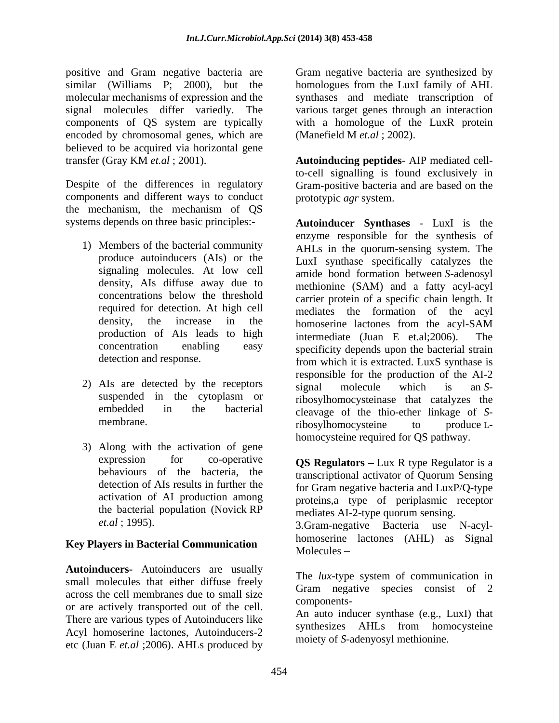positive and Gram negative bacteria are Gram negative bacteria are synthesized by similar (Williams P; 2000), but the molecular mechanisms of expression and the synthases and mediate transcription of signal molecules differ variedly. The components of QS system are typically with a homologue of the LuxR protein encoded by chromosomal genes, which are (Manefield M et.al; 2002). believed to be acquired via horizontal gene

components and different ways to conduct the mechanism, the mechanism of QS

- 
- 
- 3) Along with the activation of gene the bacterial population (Novick RP

# **Key Players in Bacterial Communication**<br>Molecules –

**Autoinducers-** Autoinducers are usually small molecules that either diffuse freely across the cell membranes due to small size of the componentsor are actively transported out of the cell. There are various types of Autoinducers like Acyl homoserine lactones, Autoinducers-2 etc (Juan E *et.al* ;2006). AHLs produced by

homologues from the LuxI family of AHL various target genes through an interaction (Manefield M *et.al* ; 2002).

transfer (Gray KM *et.al* ; 2001). **Autoinducing peptides**- AIP mediated cell-Despite of the differences in regulatory Gram-positive bacteria and are based on the to-cell signalling is found exclusively in prototypic *agr* system.

systems depends on three basic principles:- **Autoinducer Synthases** - LuxI is the 1) Members of the bacterial community AHLs in the quorum-sensing system. The produce autoinducers (AIs) or the LuxI synthase specifically catalyzes the signaling molecules. At low cell amide bond formation between *S*-adenosyl density, AIs diffuse away due to methionine (SAM) and a fatty acyl-acyl concentrations below the threshold carrier protein of a specific chain length. It required for detection. At high cell mediates the formation of the acyl density, the increase in the homoserine lactones from the acyl-SAM production of AIs leads to high intermediate (Juan E et.al:2006). The concentration enabling easy specificity depends upon the bacterial strain detection and response. <br>
from which it is extracted. LuxS synthase is 2) AIs are detected by the receptors signal molecule which is an Ssuspended in the cytoplasm or ribosylhomocysteinase that catalyzes the embedded in the bacterial cleavage of the thio-ether linkage of *S*membrane. The model of the material control of the model of the model of the model of the model of the model of the model of the model of the model of the model of the model of the model of the model of the model of the mo enzyme responsible for the synthesis of intermediate (Juan E et.al;  $2006$ ). responsible for the production of the AI-2 signal molecule which is an *S*ribosylhomocysteine to produce L homocysteine required for QS pathway.

expression for co-operative **QS Regulators** – Lux R type Regulator is a behaviours of the bacteria, the transcriptional activator of Quorum Sensing detection of AIs results in further the for Gram negative bacteria and LuxP/Q-type activation of AI production among proteins,a type of periplasmic receptor *et.al* ; 1995). 3.Gram-negative Bacteria use N-acyl mediates AI-2-type quorum sensing. homoserine lactones (AHL) as Signal Molecules –

> The *lux*-type system of communication in Gram negative species consist of 2 components-

An auto inducer synthase (e.g., LuxI) that synthesizes AHLs from homocysteine moiety of *S*-adenyosyl methionine.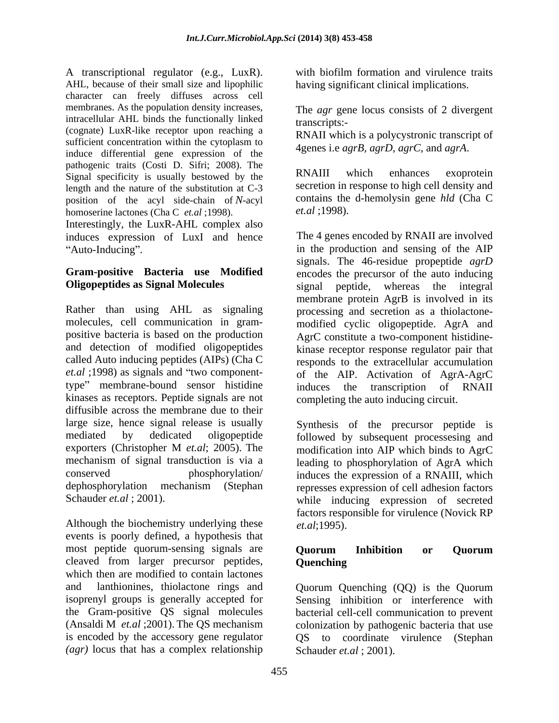A transcriptional regulator (e.g., LuxR). AHL, because of their small size and lipophilic having significant clinical implications. character can freely diffuses across cell membranes. As the population density increases, intracellular AHL binds the functionally linked transcripts:-(cognate) LuxR-like receptor upon reaching a sufficient concentration within the cytoplasm to induce differential gene expression of the pathogenic traits (Costi D. Sifri; 2008). The<br>Signal specificity is usually bectowed by the RNAIII which enhances exoprotein Signal specificity is usually bestowed by the length and the nature of the substitution at C-3 position of the acyl side-chain of *N*-acyl contains the<br>homoserine lactones (Cha C *et al* :1998). *et al* :1998). homoserine lactones (Cha C *et.al* ;1998).

Interestingly, the LuxR-AHL complex also induces expression of LuxI and hence

Rather than using AHL as signaling processing and secretion as a thiolactone molecules, cell communication in gram- modified cyclic oligopeptide. AgrA and positive bacteria is based on the production AgrC constitute a two-component histidine and detection of modified oligopeptides kinase receptor response regulator pair that called Auto inducing peptides (AIPs) (Cha C responds to the extracellular accumulation *et.al* ;1998) as signals and "two component- of the AIP. Activation of AgrA-AgrC type" membrane-bound sensor histidine induces the transcription of RNAII kinases as receptors. Peptide signals are not diffusible across the membrane due to their large size, hence signal release is usually mediated by dedicated oligopeptide followed by subsequent processesing and exporters (Christopher M *et.al*; 2005). The mechanism of signal transduction is via a leading to phosphorylation of AgrA which conserved phosphorylation/ induces the expression of a RNAIII, which dephosphorylation mechanism (Stephan represses expression of cell adhesion factors

Although the biochemistry underlying these  $et. al$ ; 1995). events is poorly defined, a hypothesis that most peptide quorum-sensing signals are **Ouorum Inhibition or Ouorum** cleaved from larger precursor peptides, which then are modified to contain lactones and lanthionines, thiolactone rings and Quorum Quenching (QQ) is the Quorum isoprenyl groups is generally accepted for Sensing inhibition or interference with the Gram-positive QS signal molecules bacterial cell-cell communication to prevent (Ansaldi M *et.al* ;2001). The QS mechanism colonization by pathogenic bacteria that use is encoded by the accessory gene regulator QS to coordinate virulence (Stephan *(agr)* locus that has a complex relationship

with biofilm formation and virulence traits

The *agr* gene locus consists of 2 divergent transcripts:-

RNAII which is a polycystronic transcript of 4genes i.e *agrB, agrD, agrC,* and *agrA*.

RNAIII which enhances exoprotein secretion in response to high cell density and contains the d-hemolysin gene *hld* (Cha C *et.al* ;1998).

Auto-Inducing". The production and sensing of the AIP **Gram-positive Bacteria use Modified** encodes the precursor of the auto inducing **Oligopeptides as Signal Molecules** signal peptide, whereas the integral The 4 genes encoded by RNAII are involved signals. The 46-residue propeptide *agrD* membrane protein AgrB is involved in its induces the transcription of RNAII completing the auto inducing circuit.

Schauder *et.al* ; 2001). while inducing expression of secreted Synthesis of the precursor peptide is modification into AIP which binds to AgrC factors responsible for virulence (Novick RP *et.al*;1995).

# **Quorum Inhibition or Quorum Quenching**

Schauder *et.al* ; 2001).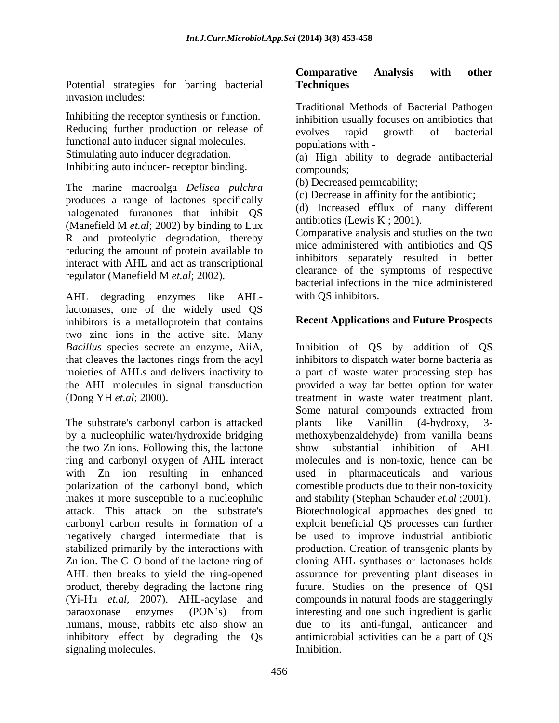Potential strategies for barring bacterial Techniques invasion includes:

Inhibiting the receptor synthesis or function. Reducing further production or release of evolves rapid growth of bacterial functional auto inducer signal molecules. Stimulating auto inducer degradation. (a) High ability to degrade antibacterial Inhibiting auto inducer- receptor binding. compounds;

The marine macroalga *Delisea pulchra* produces a range of lactones specifically halogenated furanones that inhibit QS (Manefield M *et.al*; 2002) by binding to Lux R and proteolytic degradation, thereby reducing the amount of protein available to interact with AHL and act as transcriptional regulator (Manefield M *et.al*; 2002).

AHL degrading enzymes like AHLlactonases, one of the widely used QS inhibitors is a metalloprotein that contains two zinc ions in the active site. Many

The substrate's carbonyl carbon is attacked plants like Vanillin (4-hydroxy, 3the two Zn ions. Following this, the lactone show substantial inhibition of AHL ring and carbonyl oxygen of AHL interact makes it more susceptible to a nucleophilic and stability (Stephan Schauder *et.al* :2001). attack. This attack on the substrate's negatively charged intermediate that is signaling molecules.

## **Comparative Analysis with other Techniques**

Traditional Methods of Bacterial Pathogen inhibition usually focuses on antibiotics that evolves rapid growth of bacterial populations with -

compounds;

(b) Decreased permeability;

(c) Decrease in affinity for the antibiotic;

(d) Increased efflux of many different antibiotics (Lewis K ; 2001).

Comparative analysis and studies on the two mice administered with antibiotics and QS inhibitors separately resulted in better clearance of the symptoms of respective bacterial infections in the mice administered with OS inhibitors.

## **Recent Applications and Future Prospects**

*Bacillus* species secrete an enzyme, AiiA, Inhibition of QS by addition of QS that cleaves the lactones rings from the acyl inhibitors to dispatch water borne bacteria as moieties of AHLs and delivers inactivity to a part of waste water processing step has the AHL molecules in signal transduction provided a way far better option for water (Dong YH *et.al*; 2000). treatment in waste water treatment plant. by a nucleophilic water/hydroxide bridging methoxybenzaldehyde) from vanilla beans with Zn ion resulting in enhanced used in pharmaceuticals and various polarization of the carbonyl bond, which comestible products due to their non-toxicity carbonyl carbon results in formation of a exploit beneficial QS processes can further stabilized primarily by the interactions with production. Creation of transgenic plants by Zn ion. The C–O bond of the lactone ring of cloning AHL synthases or lactonases holds AHL then breaks to yield the ring-opened assurance for preventing plant diseases in product, thereby degrading the lactone ring future. Studies on the presence of QSI (Yi-Hu *et.al,* 2007). AHL-acylase and compounds in natural foods are staggeringly paraoxonase enzymes (PON's) from interesting and one such ingredient is garlic humans, mouse, rabbits etc also show an due to its anti-fungal, anticancer and inhibitory effect by degrading the Qs antimicrobial activities can be a part of QS Some natural compounds extracted from plants like Vanillin (4-hydroxy, 3 show substantial inhibition of AHL molecules and is non-toxic, hence can be and stability (Stephan Schauder *et.al* ;2001).<br>Biotechnological approaches designed to be used to improve industrial antibiotic interesting and one such ingredient is garlic Inhibition.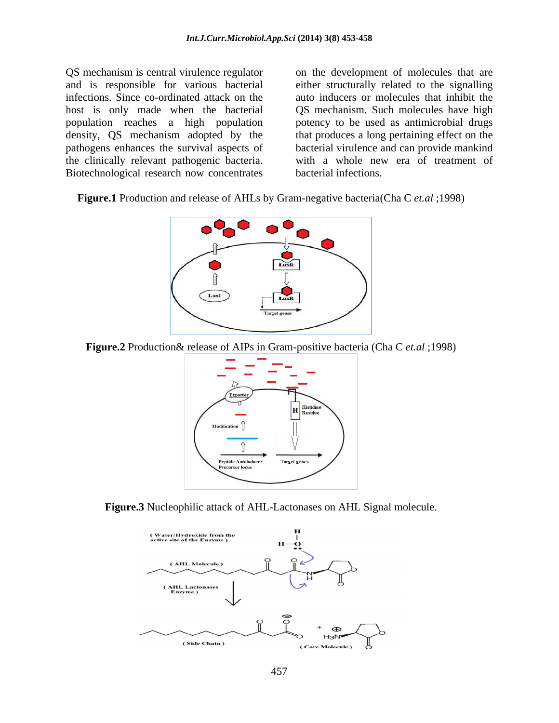population reaches a high population the clinically relevant pathogenic bacteria. Biotechnological research now concentrates

QS mechanism is central virulence regulator on the development of molecules that are and is responsible for various bacterial either structurally related to the signalling infections. Since co-ordinated attack on the auto inducers or molecules that inhibit the host is only made when the bacterial QS mechanism. Such molecules have high density, QS mechanism adopted by the that produces a long pertaining effect on the pathogens enhances the survival aspects of bacterial virulence and can provide mankind potency to be used as antimicrobial drugs with a whole new era of treatment of bacterial infections.

**Figure.1** Production and release of AHLs by Gram-negative bacteria(Cha C *et.al* ;1998)



**Figure.2** Production& release of AIPs in Gram-positive bacteria (Cha C *et.al* ;1998)



**Figure.3** Nucleophilic attack of AHL-Lactonases on AHL Signal molecule.